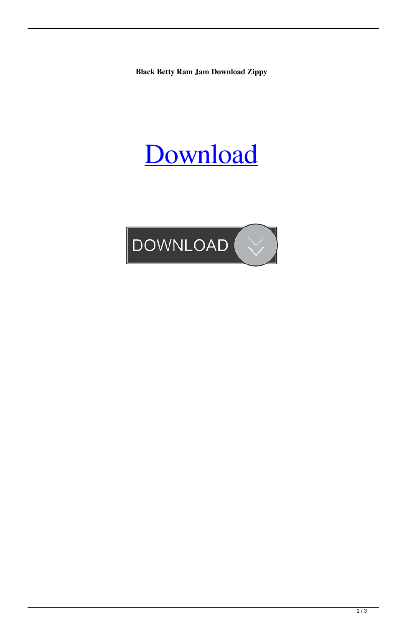**Black Betty Ram Jam Download Zippy**

## [Download](http://evacdir.com/bactine/resultsfoundation/ZG93bmxvYWR8VkswTVdkMFozeDhNVFkxTWpjME1EZzJObng4TWpVM05IeDhLRTBwSUhKbFlXUXRZbXh2WnlCYlJtRnpkQ0JIUlU1ZA&YmxhY2sgYmV0dHkgcmFtIGphbSBkb3dubG9hZCB6aXBweQYmx=resubmitted?brushed=caples)

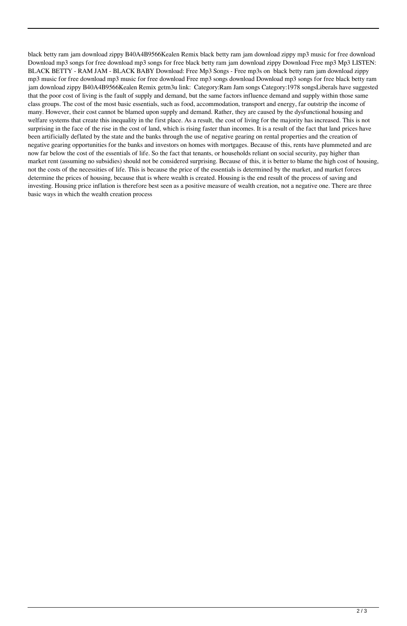black betty ram jam download zippy B40A4B9566Kealen Remix black betty ram jam download zippy mp3 music for free download Download mp3 songs for free download mp3 songs for free black betty ram jam download zippy Download Free mp3 Mp3 LISTEN: BLACK BETTY - RAM JAM - BLACK BABY Download: Free Mp3 Songs - Free mp3s on black betty ram jam download zippy mp3 music for free download mp3 music for free download Free mp3 songs download Download mp3 songs for free black betty ram jam download zippy B40A4B9566Kealen Remix getm3u link: Category:Ram Jam songs Category:1978 songsLiberals have suggested that the poor cost of living is the fault of supply and demand, but the same factors influence demand and supply within those same class groups. The cost of the most basic essentials, such as food, accommodation, transport and energy, far outstrip the income of many. However, their cost cannot be blamed upon supply and demand. Rather, they are caused by the dysfunctional housing and welfare systems that create this inequality in the first place. As a result, the cost of living for the majority has increased. This is not surprising in the face of the rise in the cost of land, which is rising faster than incomes. It is a result of the fact that land prices have been artificially deflated by the state and the banks through the use of negative gearing on rental properties and the creation of negative gearing opportunities for the banks and investors on homes with mortgages. Because of this, rents have plummeted and are now far below the cost of the essentials of life. So the fact that tenants, or households reliant on social security, pay higher than market rent (assuming no subsidies) should not be considered surprising. Because of this, it is better to blame the high cost of housing, not the costs of the necessities of life. This is because the price of the essentials is determined by the market, and market forces determine the prices of housing, because that is where wealth is created. Housing is the end result of the process of saving and investing. Housing price inflation is therefore best seen as a positive measure of wealth creation, not a negative one. There are three basic ways in which the wealth creation process